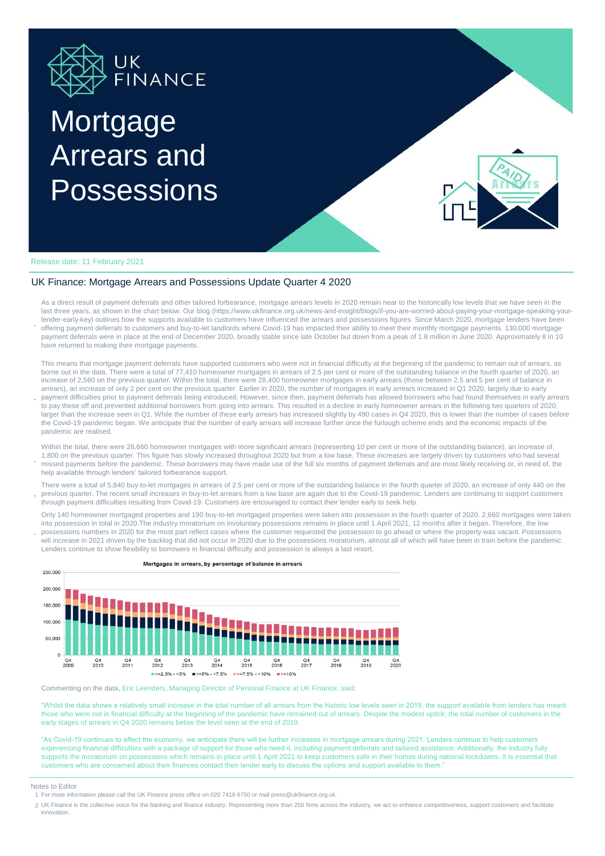

# **Mortgage** Arrears and Possessions



Release date: 11 February 2021

#### UK Finance: Mortgage Arrears and Possessions Update Quarter 4 2020

**.** As a direct result of payment deferrals and other tailored forbearance, mortgage arrears levels in 2020 remain near to the historically low levels that we have seen in the last three years, as shown in the chart below. Our blog (https://www.ukfinance.org.uk/news-and-insight/blogs/if-you-are-worried-about-paying-your-mortgage-speaking-yourlender-early-key) outlines how the supports available to customers have influenced the arrears and possessions figures. Since March 2020, mortgage lenders have been offering payment deferrals to customers and buy-to-let landlords where Covid-19 has impacted their ability to meet their monthly mortgage payments. 130,000 mortgage payment deferrals were in place at the end of December 2020, broadly stable since late October but down from a peak of 1.8 million in June 2020. Approximately 8 in 10 have returned to making their mortgage payments.

This means that mortgage payment deferrals have supported customers who were not in financial difficulty at the beginning of the pandemic to remain out of arrears, as borne out in the data. There were a total of 77,410 homeowner mortgages in arrears of 2.5 per cent or more of the outstanding balance in the fourth quarter of 2020, an increase of 2,560 on the previous quarter. Within the total, there were 28,400 homeowner mortgages in early arrears (those between 2.5 and 5 per cent of balance in arrears), an increase of only 2 per cent on the previous quarter. Earlier in 2020, the number of mortgages in early arrears increased in Q1 2020, largely due to early

**.** payment difficulties prior to payment deferrals being introduced. However, since then, payment deferrals has allowed borrowers who had found themselves in early arrears to pay these off and prevented additional borrowers from going into arrears. This resulted in a decline in early homeowner arrears in the following two quarters of 2020, larger than the increase seen in Q1. While the number of these early arrears has increased slightly by 490 cases in Q4 2020, this is lower than the number of cases before the Covid-19 pandemic began. We anticipate that the number of early arrears will increase further once the furlough scheme ends and the economic impacts of the pandemic are realised.

**.** Within the total, there were 26,660 homeowner mortgages with more significant arrears (representing 10 per cent or more of the outstanding balance), an increase of 1,800 on the previous quarter. This figure has slowly increased throughout 2020 but from a low base. These increases are largely driven by customers who had several missed payments before the pandemic. These borrowers may have made use of the full six months of payment deferrals and are most likely receiving or, in need of, the help available through lenders' tailored forbearance support.

**.** There were a total of 5,840 buy-to-let mortgages in arrears of 2.5 per cent or more of the outstanding balance in the fourth quarter of 2020, an increase of only 440 on the previous quarter. The recent small increases in buy-to-let arrears from a low base are again due to the Covid-19 pandemic. Lenders are continuing to support customers through payment difficulties resulting from Covid-19. Customers are encouraged to contact their lender early to seek help.

**.** Only 140 homeowner mortgaged properties and 190 buy-to-let mortgaged properties were taken into possession in the fourth quarter of 2020. 2,660 mortgages were taken into possession in total in 2020.The industry moratorium on involuntary possessions remains in place until 1 April 2021, 12 months after it began. Therefore, the low possessions numbers in 2020 for the most part reflect cases where the customer requested the possession to go ahead or where the property was vacant. Possessions

will increase in 2021 driven by the backlog that did not occur in 2020 due to the possessions moratorium, almost all of which will have been in train before the pandemic. Lenders continue to show flexibility to borrowers in financial difficulty and possession is always a last resort.



Mortgages in arrears, by percentage of balance in arrears

Commenting on the data, Eric Leenders, Managing Director of Personal Finance at UK Finance, said:

"Whilst the data shows a relatively small increase in the total number of all arrears from the historic low levels seen in 2019, the support available from lenders has meant those who were not in financial difficulty at the beginning of the pandemic have remained out of arrears. Despite the modest uptick, the total number of customers in the early stages of arrears in Q4 2020 remains below the level seen at the end of 2019.

"As Covid-19 continues to affect the economy, we anticipate there will be further increases in mortgage arrears during 2021. Lenders continue to help customers experiencing financial difficulties with a package of support for those who need it, including payment deferrals and tailored assistance. Additionally, the industry fully supports the moratorium on possessions which remains in place until 1 April 2021 to keep customers safe in their homes during national lockdowns. It is essential that customers who are concerned about their finances contact their lender early to discuss the options and support available to them."

#### Notes to Editor

2 UK Finance is the collective voice for the banking and finance industry. Representing more than 250 firms across the industry, we act to enhance competitiveness, support customers and facilitate innovation.

<sup>1</sup> For more information please call the UK Finance press office on 020 7416 6750 or mail press@ukfinance.org.uk.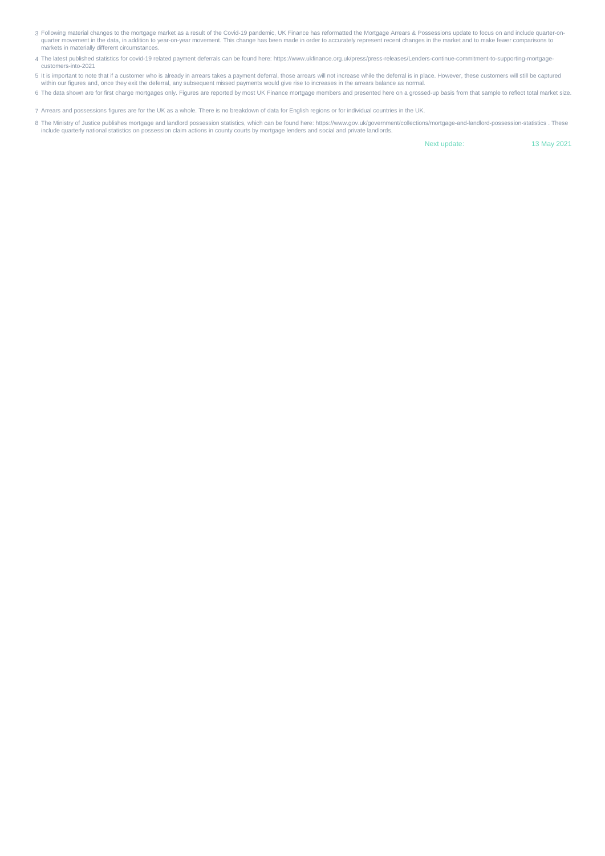- 3 Following material changes to the mortgage market as a result of the Covid-19 pandemic, UK Finance has reformatted the Mortgage Arrears & Possessions update to focus on and include quarter-onquarter movement in the data, in addition to year-on-year movement. This change has been made in order to accurately represent recent changes in the market and to make fewer comparisons to markets in materially different circumstances.
- 4 The latest published statistics for covid-19 related payment deferrals can be found here: https://www.ukfinance.org.uk/press/press-releases/Lenders-continue-commitment-to-supporting-mortgagecustomers-into-2021
- 5 It is important to note that if a customer who is already in arrears takes a payment deferral, those arrears will not increase while the deferral is in place. However, these customers will still be captured<br>within our fi
- 6 The data shown are for first charge mortgages only. Figures are reported by most UK Finance mortgage members and presented here on a grossed-up basis from that sample to reflect total market size.

7 Arrears and possessions figures are for the UK as a whole. There is no breakdown of data for English regions or for individual countries in the UK.

8 The Ministry of Justice publishes mortgage and landlord possession statistics, which can be found here: https://www.gov.uk/government/collections/mortgage-and-landlord-possession-statistics . These include quarterly national statistics on possession claim actions in county courts by mortgage lenders and social and private landlords.

Next update: 13 May 2021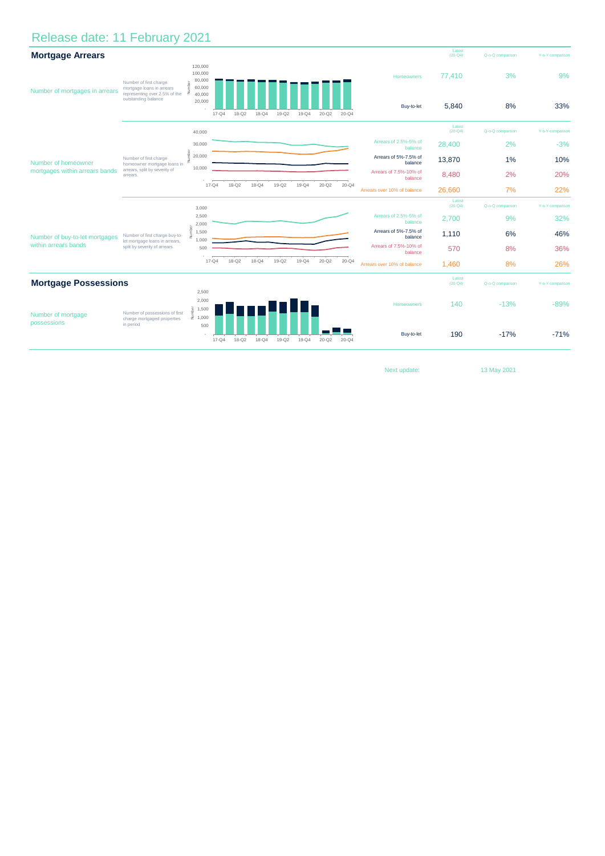## Release date: 11 February 2021

| <b>Mortgage Arrears</b>                                |                                                                                                                       |                                                            |           |           |           |           |                       |                  |                  |                                   | Latest<br>$(20 - Q4)$ | Q-o-Q comparison | Y-o-Y comparison |
|--------------------------------------------------------|-----------------------------------------------------------------------------------------------------------------------|------------------------------------------------------------|-----------|-----------|-----------|-----------|-----------------------|------------------|------------------|-----------------------------------|-----------------------|------------------|------------------|
| Number of mortgages in arrears                         | Number of first charge<br>mortgage loans in arrears<br>representing over 2.5% of the $\vec{z}$<br>outstanding balance | 120,000<br>100,000<br>80,000<br>60,000<br>40,000<br>20,000 |           |           |           |           |                       |                  |                  | Homeowners                        | 77,410                | 3%               | 9%               |
|                                                        |                                                                                                                       |                                                            | $17 - Q4$ | $18 - Q2$ | $18 - Q4$ | $19 - Q2$ | $19 - Q4$             | $20 - Q2$        | $20 - Q4$        | Buy-to-let                        | 5,840                 | 8%               | 33%              |
| Number of homeowner<br>mortgages within arrears bands  | Number of first charge<br>homeowner mortgage loans in<br>arrears, split by severity of<br>arrears.                    | 40,000                                                     |           |           |           |           |                       |                  |                  |                                   | Latest<br>$(20 - Q4)$ | Q-o-Q comparison | Y-o-Y comparison |
|                                                        |                                                                                                                       | 30,000                                                     |           |           |           |           |                       |                  |                  | Arrears of 2.5%-5% of<br>balance  | 28,400                | 2%               | $-3%$            |
|                                                        |                                                                                                                       | 20,000<br>ž                                                |           |           |           |           |                       |                  |                  | Arrears of 5%-7.5% of<br>balance  | 13,870                | 1%               | 10%              |
|                                                        |                                                                                                                       | 10,000                                                     |           |           |           |           |                       |                  |                  | Arrears of 7.5%-10% of<br>balance | 8,480                 | 2%               | 20%              |
|                                                        |                                                                                                                       |                                                            | $17 - Q4$ | $18 - Q2$ | $18 - Q4$ | $19 - Q2$ | $19 - Q4$             | $20 - Q2$        | $20 - Q4$        | Arrears over 10% of balance       | 26.660                | 7%               | 22%              |
|                                                        |                                                                                                                       | 3,000                                                      |           |           |           |           |                       |                  |                  |                                   | Latest<br>$(20 - Q4)$ | Q-o-Q comparison | Y-o-Y comparison |
| Number of buy-to-let mortgages<br>within arrears bands | Number of first charge buy-to-<br>let mortgage loans in arrears,<br>split by severity of arrears.                     | 2,500<br>2,000                                             |           |           |           |           |                       |                  |                  | Arrears of 2.5%-5% of<br>balance  | 2,700                 | 9%               | 32%              |
|                                                        |                                                                                                                       | 1,500<br>1,000                                             |           |           |           |           |                       |                  |                  | Arrears of 5%-7.5% of<br>balance  | 1,110                 | 6%               | 46%              |
|                                                        |                                                                                                                       | 500                                                        |           |           |           |           |                       |                  |                  | Arrears of 7.5%-10% of<br>balance | 570                   | 8%               | 36%              |
|                                                        |                                                                                                                       |                                                            | $17 - Q4$ | $18 - Q2$ | $18 - Q4$ | $19 - Q2$ | $19 - Q4$             | $20 - Q2$        | $20 - Q4$        | Arrears over 10% of balance       | 1,460                 | 8%               | 26%              |
| <b>Mortgage Possessions</b>                            |                                                                                                                       |                                                            |           |           |           |           | Latest<br>$(20 - Q4)$ | Q-o-Q comparison | Y-o-Y comparison |                                   |                       |                  |                  |
| Number of mortgage<br>possessions                      | Number of possessions of first<br>charge mortgaged properties<br>in period                                            | 2,500<br>2,000<br>ಠ<br>1,500                               |           |           |           |           |                       |                  |                  | Homeowners                        | 140                   | $-13%$           | $-89%$           |
|                                                        |                                                                                                                       | $\frac{3}{2}$ 1,000<br>500                                 | $17 - Q4$ | $18 - 02$ | $18 - Q4$ | $19 - Q2$ | $19 - Q4$             | $20 - 02$        | $20 - Q4$        | Buy-to-let                        | 190                   | $-17%$           | $-71%$           |

Next update: 13 May 2021